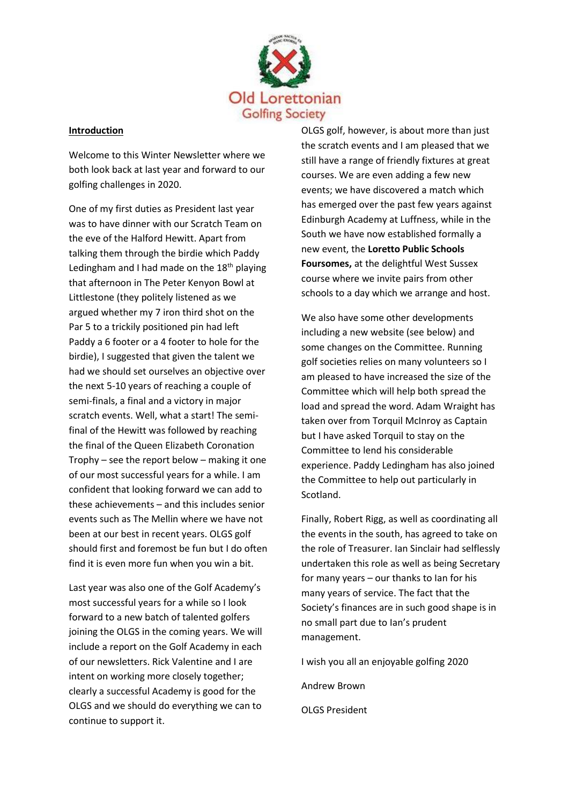

# **Introduction**

Welcome to this Winter Newsletter where we both look back at last year and forward to our golfing challenges in 2020.

One of my first duties as President last year was to have dinner with our Scratch Team on the eve of the Halford Hewitt. Apart from talking them through the birdie which Paddy Ledingham and I had made on the  $18<sup>th</sup>$  playing that afternoon in The Peter Kenyon Bowl at Littlestone (they politely listened as we argued whether my 7 iron third shot on the Par 5 to a trickily positioned pin had left Paddy a 6 footer or a 4 footer to hole for the birdie), I suggested that given the talent we had we should set ourselves an objective over the next 5-10 years of reaching a couple of semi-finals, a final and a victory in major scratch events. Well, what a start! The semifinal of the Hewitt was followed by reaching the final of the Queen Elizabeth Coronation Trophy – see the report below – making it one of our most successful years for a while. I am confident that looking forward we can add to these achievements – and this includes senior events such as The Mellin where we have not been at our best in recent years. OLGS golf should first and foremost be fun but I do often find it is even more fun when you win a bit.

Last year was also one of the Golf Academy's most successful years for a while so I look forward to a new batch of talented golfers joining the OLGS in the coming years. We will include a report on the Golf Academy in each of our newsletters. Rick Valentine and I are intent on working more closely together; clearly a successful Academy is good for the OLGS and we should do everything we can to continue to support it.

OLGS golf, however, is about more than just the scratch events and I am pleased that we still have a range of friendly fixtures at great courses. We are even adding a few new events; we have discovered a match which has emerged over the past few years against Edinburgh Academy at Luffness, while in the South we have now established formally a new event, the **Loretto Public Schools Foursomes,** at the delightful West Sussex course where we invite pairs from other schools to a day which we arrange and host.

We also have some other developments including a new website (see below) and some changes on the Committee. Running golf societies relies on many volunteers so I am pleased to have increased the size of the Committee which will help both spread the load and spread the word. Adam Wraight has taken over from Torquil McInroy as Captain but I have asked Torquil to stay on the Committee to lend his considerable experience. Paddy Ledingham has also joined the Committee to help out particularly in Scotland.

Finally, Robert Rigg, as well as coordinating all the events in the south, has agreed to take on the role of Treasurer. Ian Sinclair had selflessly undertaken this role as well as being Secretary for many years – our thanks to Ian for his many years of service. The fact that the Society's finances are in such good shape is in no small part due to Ian's prudent management.

I wish you all an enjoyable golfing 2020

Andrew Brown

OLGS President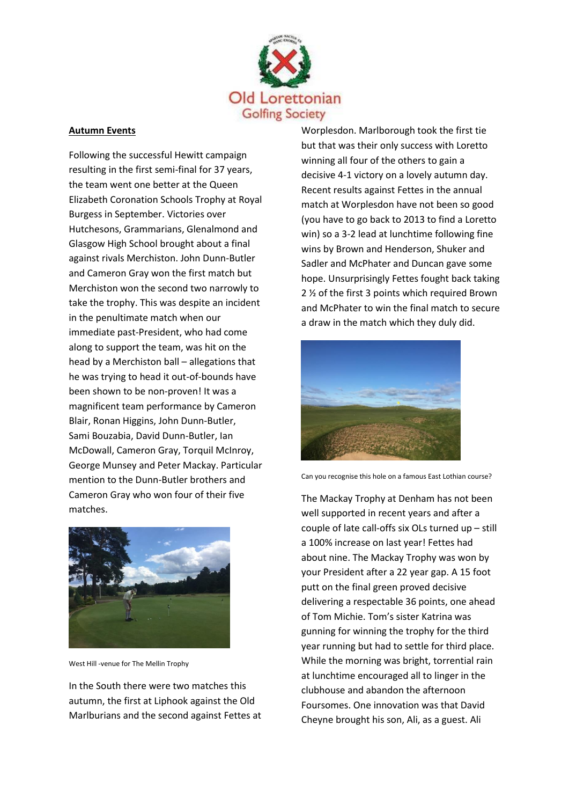

# **Autumn Events**

Following the successful Hewitt campaign resulting in the first semi-final for 37 years, the team went one better at the Queen Elizabeth Coronation Schools Trophy at Royal Burgess in September. Victories over Hutchesons, Grammarians, Glenalmond and Glasgow High School brought about a final against rivals Merchiston. John Dunn-Butler and Cameron Gray won the first match but Merchiston won the second two narrowly to take the trophy. This was despite an incident in the penultimate match when our immediate past-President, who had come along to support the team, was hit on the head by a Merchiston ball – allegations that he was trying to head it out-of-bounds have been shown to be non-proven! It was a magnificent team performance by Cameron Blair, Ronan Higgins, John Dunn-Butler, Sami Bouzabia, David Dunn-Butler, Ian McDowall, Cameron Gray, Torquil McInroy, George Munsey and Peter Mackay. Particular mention to the Dunn-Butler brothers and Cameron Gray who won four of their five matches.



West Hill -venue for The Mellin Trophy

In the South there were two matches this autumn, the first at Liphook against the Old Marlburians and the second against Fettes at Worplesdon. Marlborough took the first tie but that was their only success with Loretto winning all four of the others to gain a decisive 4-1 victory on a lovely autumn day. Recent results against Fettes in the annual match at Worplesdon have not been so good (you have to go back to 2013 to find a Loretto win) so a 3-2 lead at lunchtime following fine wins by Brown and Henderson, Shuker and Sadler and McPhater and Duncan gave some hope. Unsurprisingly Fettes fought back taking 2 ½ of the first 3 points which required Brown and McPhater to win the final match to secure a draw in the match which they duly did.



Can you recognise this hole on a famous East Lothian course?

The Mackay Trophy at Denham has not been well supported in recent years and after a couple of late call-offs six OLs turned up – still a 100% increase on last year! Fettes had about nine. The Mackay Trophy was won by your President after a 22 year gap. A 15 foot putt on the final green proved decisive delivering a respectable 36 points, one ahead of Tom Michie. Tom's sister Katrina was gunning for winning the trophy for the third year running but had to settle for third place. While the morning was bright, torrential rain at lunchtime encouraged all to linger in the clubhouse and abandon the afternoon Foursomes. One innovation was that David Cheyne brought his son, Ali, as a guest. Ali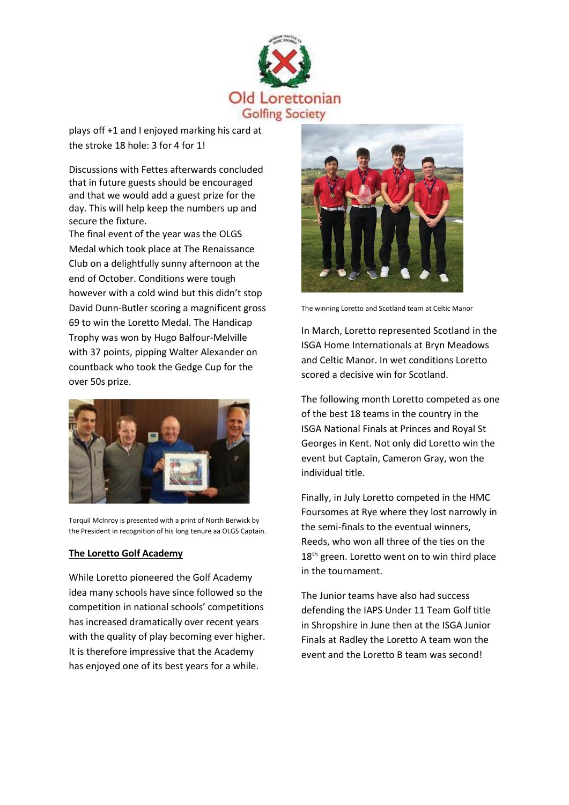

plays off +1 and I enjoyed marking his card at the stroke 18 hole: 3 for 4 for 1!

Discussions with Fettes afterwards concluded that in future guests should be encouraged and that we would add a guest prize for the day. This will help keep the numbers up and secure the fixture.

The final event of the year was the OLGS Medal which took place at The Renaissance Club on a delightfully sunny afternoon at the end of October. Conditions were tough however with a cold wind but this didn't stop David Dunn-Butler scoring a magnificent gross 69 to win the Loretto Medal. The Handicap Trophy was won by Hugo Balfour-Melville with 37 points, pipping Walter Alexander on countback who took the Gedge Cup for the over 50s prize.



Torquil McInroy is presented with a print of North Berwick by the President in recognition of his long tenure aa OLGS Captain.

# **The Loretto Golf Academy**

While Loretto pioneered the Golf Academy idea many schools have since followed so the competition in national schools' competitions has increased dramatically over recent years with the quality of play becoming ever higher. It is therefore impressive that the Academy has enjoyed one of its best years for a while.



The winning Loretto and Scotland team at Celtic Manor

In March, Loretto represented Scotland in the ISGA Home Internationals at Bryn Meadows and Celtic Manor. In wet conditions Loretto scored a decisive win for Scotland.

The following month Loretto competed as one of the best 18 teams in the country in the ISGA National Finals at Princes and Royal St Georges in Kent. Not only did Loretto win the event but Captain, Cameron Gray, won the individual title.

Finally, in July Loretto competed in the HMC Foursomes at Rye where they lost narrowly in the semi-finals to the eventual winners, Reeds, who won all three of the ties on the 18<sup>th</sup> green. Loretto went on to win third place in the tournament.

The Junior teams have also had success defending the IAPS Under 11 Team Golf title in Shropshire in June then at the ISGA Junior Finals at Radley the Loretto A team won the event and the Loretto B team was second!